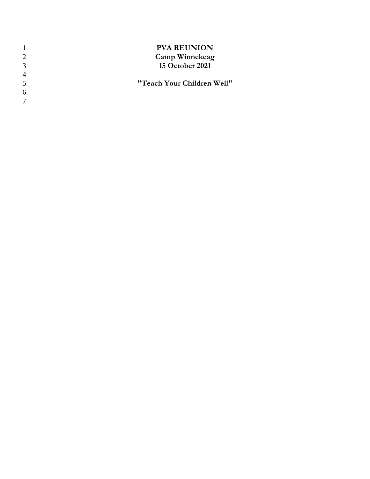|                | <b>PVA REUNION</b>         |
|----------------|----------------------------|
| $\mathcal{D}$  | <b>Camp Winnekeag</b>      |
| 3              | <b>15 October 2021</b>     |
| $\overline{4}$ |                            |
| -5             | "Teach Your Children Well" |
| 6              |                            |
|                |                            |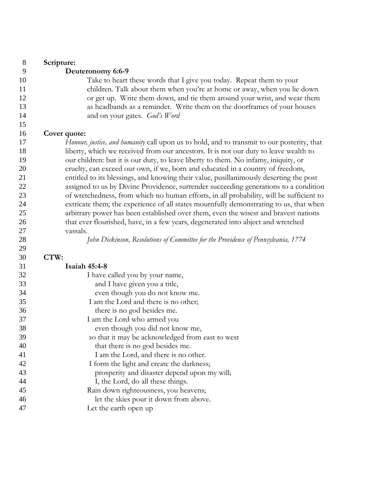| 8        | Scripture:                                                                                                                                                                      |
|----------|---------------------------------------------------------------------------------------------------------------------------------------------------------------------------------|
| 9        | Deuteronomy 6:6-9                                                                                                                                                               |
| 10<br>11 | Take to heart these words that I give you today. Repeat them to your<br>children. Talk about them when you're at home or away, when you lie down                                |
| 12       | or get up. Write them down, and tie them around your wrist, and wear them                                                                                                       |
| 13       | as headbands as a reminder. Write them on the doorframes of your houses                                                                                                         |
| 14       | and on your gates. God's Word                                                                                                                                                   |
| 15       |                                                                                                                                                                                 |
| 16       | Cover quote:                                                                                                                                                                    |
| 17       | Honour, justice, and humanity call upon us to hold, and to transmit to our posterity, that                                                                                      |
| 18       | liberty, which we received from our ancestors. It is not our duty to leave wealth to                                                                                            |
| 19       | our children: but it is our duty, to leave liberty to them. No infamy, iniquity, or                                                                                             |
| 20       | cruelty, can exceed our own, if we, born and educated in a country of freedom,                                                                                                  |
| 21       | entitled to its blessings, and knowing their value, pusillanimously deserting the post                                                                                          |
| 22<br>23 | assigned to us by Divine Providence, surrender succeeding generations to a condition<br>of wretchedness, from which no human efforts, in all probability, will be sufficient to |
| 24       | extricate them; the experience of all states mournfully demonstrating to us, that when                                                                                          |
| 25       | arbitrary power has been established over them, even the wisest and bravest nations                                                                                             |
| 26       | that ever flourished, have, in a few years, degenerated into abject and wretched                                                                                                |
| 27       | vassals.                                                                                                                                                                        |
| 28       | John Dickinson, Resolutions of Committee for the Providence of Pennsylvania, 1774                                                                                               |
| 29       |                                                                                                                                                                                 |
| 30       | CTW:                                                                                                                                                                            |
| 31       | <b>Isaiah 45:4-8</b>                                                                                                                                                            |
| 32       | I have called you by your name,                                                                                                                                                 |
| 33       | and I have given you a title,                                                                                                                                                   |
| 34       | even though you do not know me.                                                                                                                                                 |
| 35       | I am the Lord and there is no other;                                                                                                                                            |
| 36       | there is no god besides me.                                                                                                                                                     |
| 37       | I am the Lord who armed you                                                                                                                                                     |
| 38       | even though you did not know me,                                                                                                                                                |
| 39       | so that it may be acknowledged from east to west                                                                                                                                |
| 40       | that there is no god besides me.                                                                                                                                                |
| 41       | I am the Lord, and there is no other.                                                                                                                                           |
| 42       | I form the light and create the darkness;                                                                                                                                       |
| 43       | prosperity and disaster depend upon my will;                                                                                                                                    |
| 44       | I, the Lord, do all these things.                                                                                                                                               |
| 45       | Rain down righteousness, you heavens;                                                                                                                                           |
| 46       | let the skies pour it down from above.                                                                                                                                          |
| 47       | Let the earth open up                                                                                                                                                           |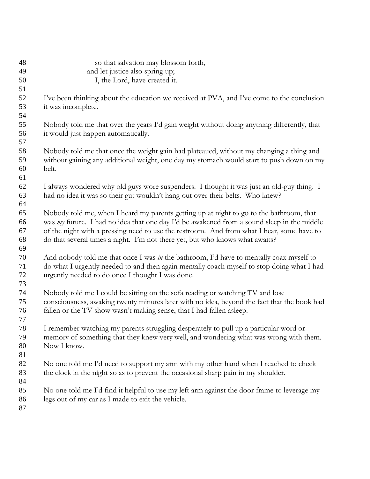| 48 | so that salvation may blossom forth,                                                        |
|----|---------------------------------------------------------------------------------------------|
| 49 | and let justice also spring up;                                                             |
| 50 | I, the Lord, have created it.                                                               |
| 51 |                                                                                             |
| 52 | I've been thinking about the education we received at PVA, and I've come to the conclusion  |
| 53 | it was incomplete.                                                                          |
| 54 |                                                                                             |
| 55 | Nobody told me that over the years I'd gain weight without doing anything differently, that |
| 56 | it would just happen automatically.                                                         |
| 57 |                                                                                             |
| 58 | Nobody told me that once the weight gain had plateaued, without my changing a thing and     |
| 59 | without gaining any additional weight, one day my stomach would start to push down on my    |
| 60 | belt.                                                                                       |
| 61 |                                                                                             |
| 62 | I always wondered why old guys wore suspenders. I thought it was just an old-guy thing. I   |
| 63 | had no idea it was so their gut wouldn't hang out over their belts. Who knew?               |
| 64 |                                                                                             |
| 65 | Nobody told me, when I heard my parents getting up at night to go to the bathroom, that     |
| 66 | was my future. I had no idea that one day I'd be awakened from a sound sleep in the middle  |
| 67 | of the night with a pressing need to use the restroom. And from what I hear, some have to   |
| 68 | do that several times a night. I'm not there yet, but who knows what awaits?                |
| 69 |                                                                                             |
| 70 | And nobody told me that once I was in the bathroom, I'd have to mentally coax myself to     |
| 71 | do what I urgently needed to and then again mentally coach myself to stop doing what I had  |
| 72 | urgently needed to do once I thought I was done.                                            |
| 73 |                                                                                             |
| 74 | Nobody told me I could be sitting on the sofa reading or watching TV and lose               |
| 75 | consciousness, awaking twenty minutes later with no idea, beyond the fact that the book had |
| 76 | fallen or the TV show wasn't making sense, that I had fallen asleep.                        |
| 77 |                                                                                             |
| 78 | I remember watching my parents struggling desperately to pull up a particular word or       |
| 79 | memory of something that they knew very well, and wondering what was wrong with them.       |
| 80 | Now I know.                                                                                 |
| 81 |                                                                                             |
| 82 | No one told me I'd need to support my arm with my other hand when I reached to check        |
| 83 | the clock in the night so as to prevent the occasional sharp pain in my shoulder.           |
| 84 |                                                                                             |
| 85 | No one told me I'd find it helpful to use my left arm against the door frame to leverage my |
| 86 | legs out of my car as I made to exit the vehicle.                                           |
| 87 |                                                                                             |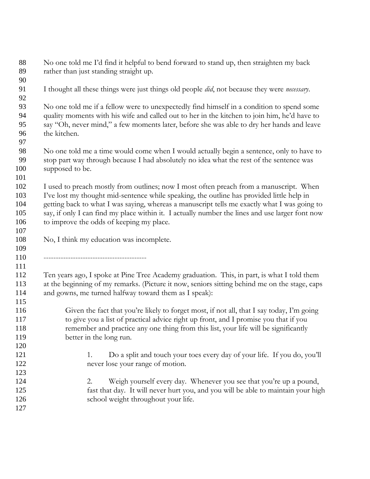| 88<br>89                               | No one told me I'd find it helpful to bend forward to stand up, then straighten my back<br>rather than just standing straight up.                                                                                                                                                                                                                                                                                                  |
|----------------------------------------|------------------------------------------------------------------------------------------------------------------------------------------------------------------------------------------------------------------------------------------------------------------------------------------------------------------------------------------------------------------------------------------------------------------------------------|
| 90                                     |                                                                                                                                                                                                                                                                                                                                                                                                                                    |
| 91<br>92                               | I thought all these things were just things old people did, not because they were necessary.                                                                                                                                                                                                                                                                                                                                       |
| 93<br>94<br>95<br>96                   | No one told me if a fellow were to unexpectedly find himself in a condition to spend some<br>quality moments with his wife and called out to her in the kitchen to join him, he'd have to<br>say "Oh, never mind," a few moments later, before she was able to dry her hands and leave<br>the kitchen.                                                                                                                             |
| 97                                     |                                                                                                                                                                                                                                                                                                                                                                                                                                    |
| 98<br>99<br>100                        | No one told me a time would come when I would actually begin a sentence, only to have to<br>stop part way through because I had absolutely no idea what the rest of the sentence was<br>supposed to be.                                                                                                                                                                                                                            |
| 101<br>102<br>103<br>104<br>105<br>106 | I used to preach mostly from outlines; now I most often preach from a manuscript. When<br>I've lost my thought mid-sentence while speaking, the outline has provided little help in<br>getting back to what I was saying, whereas a manuscript tells me exactly what I was going to<br>say, if only I can find my place within it. I actually number the lines and use larger font now<br>to improve the odds of keeping my place. |
| 107<br>108<br>109                      | No, I think my education was incomplete.                                                                                                                                                                                                                                                                                                                                                                                           |
| 110<br>111                             |                                                                                                                                                                                                                                                                                                                                                                                                                                    |
| 112<br>113<br>114                      | Ten years ago, I spoke at Pine Tree Academy graduation. This, in part, is what I told them<br>at the beginning of my remarks. (Picture it now, seniors sitting behind me on the stage, caps<br>and gowns, me turned halfway toward them as I speak):                                                                                                                                                                               |
| 115<br>116                             | Given the fact that you're likely to forget most, if not all, that I say today, I'm going                                                                                                                                                                                                                                                                                                                                          |
| 117                                    | to give you a list of practical advice right up front, and I promise you that if you                                                                                                                                                                                                                                                                                                                                               |
| 118                                    | remember and practice any one thing from this list, your life will be significantly                                                                                                                                                                                                                                                                                                                                                |
| 119                                    | better in the long run.                                                                                                                                                                                                                                                                                                                                                                                                            |
| 120                                    |                                                                                                                                                                                                                                                                                                                                                                                                                                    |
| 121                                    | Do a split and touch your toes every day of your life. If you do, you'll<br>1.                                                                                                                                                                                                                                                                                                                                                     |
| 122                                    | never lose your range of motion.                                                                                                                                                                                                                                                                                                                                                                                                   |
| 123                                    |                                                                                                                                                                                                                                                                                                                                                                                                                                    |
| 124                                    | Weigh yourself every day. Whenever you see that you're up a pound,<br>2.                                                                                                                                                                                                                                                                                                                                                           |
| 125                                    | fast that day. It will never hurt you, and you will be able to maintain your high                                                                                                                                                                                                                                                                                                                                                  |
| 126                                    | school weight throughout your life.                                                                                                                                                                                                                                                                                                                                                                                                |
| 127                                    |                                                                                                                                                                                                                                                                                                                                                                                                                                    |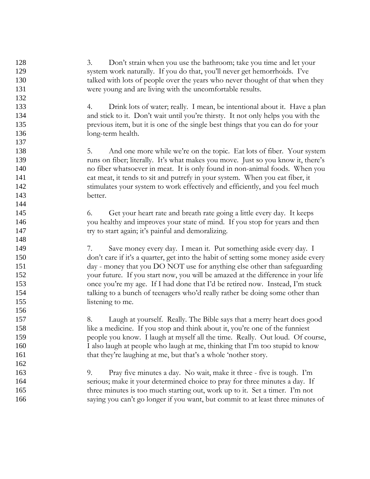3. Don't strain when you use the bathroom; take you time and let your system work naturally. If you do that, you'll never get hemorrhoids. I've talked with lots of people over the years who never thought of that when they were young and are living with the uncomfortable results. 4. Drink lots of water; really. I mean, be intentional about it. Have a plan and stick to it. Don't wait until you're thirsty. It not only helps you with the previous item, but it is one of the single best things that you can do for your long-term health. 5. And one more while we're on the topic. Eat lots of fiber. Your system runs on fiber; literally. It's what makes you move. Just so you know it, there's no fiber whatsoever in meat. It is only found in non-animal foods. When you eat meat, it tends to sit and putrefy in your system. When you eat fiber, it stimulates your system to work effectively and efficiently, and you feel much better. 6. Get your heart rate and breath rate going a little every day. It keeps you healthy and improves your state of mind. If you stop for years and then try to start again; it's painful and demoralizing. 7. Save money every day. I mean it. Put something aside every day. I don't care if it's a quarter, get into the habit of setting some money aside every day - money that you DO NOT use for anything else other than safeguarding your future. If you start now, you will be amazed at the difference in your life once you're my age. If I had done that I'd be retired now. Instead, I'm stuck talking to a bunch of teenagers who'd really rather be doing some other than listening to me. 8. Laugh at yourself. Really. The Bible says that a merry heart does good like a medicine. If you stop and think about it, you're one of the funniest people you know. I laugh at myself all the time. Really. Out loud. Of course, I also laugh at people who laugh at me, thinking that I'm too stupid to know that they're laughing at me, but that's a whole 'nother story. 9. Pray five minutes a day. No wait, make it three - five is tough. I'm serious; make it your determined choice to pray for three minutes a day. If three minutes is too much starting out, work up to it. Set a timer. I'm not saying you can't go longer if you want, but commit to at least three minutes of 128 129 130 131 132 133 134 135 136 137 138 139 140 141 142 143 144 145 146 147 148 149 150 151 152 153 154 155 156 157 158 159 160 161 162 163 164 165 166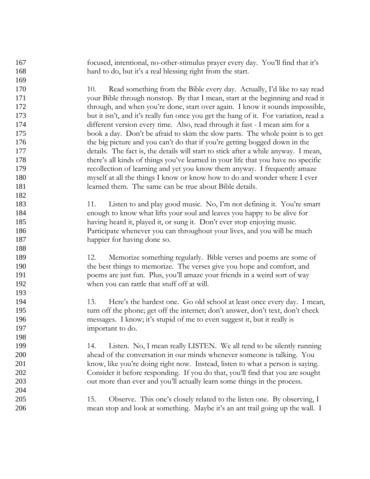focused, intentional, no-other-stimulus prayer every day. You'll find that it's hard to do, but it's a real blessing right from the start. 10. Read something from the Bible every day. Actually, I'd like to say read your Bible through nonstop. By that I mean, start at the beginning and read it through, and when you're done, start over again. I know it sounds impossible, but it isn't, and it's really fun once you get the hang of it. For variation, read a different version every time. Also, read through it fast - I mean aim for a book a day. Don't be afraid to skim the slow parts. The whole point is to get the big picture and you can't do that if you're getting bogged down in the details. The fact is, the details will start to stick after a while anyway. I mean, there's all kinds of things you've learned in your life that you have no specific recollection of learning and yet you know them anyway. I frequently amaze myself at all the things I know or know how to do and wonder where I ever learned them. The same can be true about Bible details. 11. Listen to and play good music. No, I'm not defining it. You're smart enough to know what lifts your soul and leaves you happy to be alive for having heard it, played it, or sung it. Don't ever stop enjoying music. Participate whenever you can throughout your lives, and you will be much happier for having done so. 12. Memorize something regularly. Bible verses and poems are some of the best things to memorize. The verses give you hope and comfort, and poems are just fun. Plus, you'll amaze your friends in a weird sort of way when you can rattle that stuff off at will. 13. Here's the hardest one. Go old school at least once every day. I mean, turn off the phone; get off the internet; don't answer, don't text, don't check messages. I know; it's stupid of me to even suggest it, but it really is important to do. 14. Listen. No, I mean really LISTEN. We all tend to be silently running ahead of the conversation in our minds whenever someone is talking. You know, like you're doing right now. Instead, listen to what a person is saying. Consider it before responding. If you do that, you'll find that you are sought out more than ever and you'll actually learn some things in the process. 15. Observe. This one's closely related to the listen one. By observing, I mean stop and look at something. Maybe it's an ant trail going up the wall. I 167 168 169 170 171 172 173 174 175 176 177 178 179 180 181 182 183 184 185 186 187 188 189 190 191 192 193 194 195 196 197 198 199 200 201 202 203 204 205 206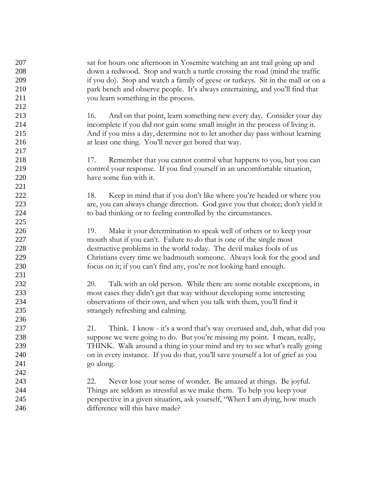sat for hours one afternoon in Yosemite watching an ant trail going up and down a redwood. Stop and watch a turtle crossing the road (mind the traffic if you do). Stop and watch a family of geese or turkeys. Sit in the mall or on a park bench and observe people. It's always entertaining, and you'll find that you learn something in the process. 16. And on that point, learn something new every day. Consider your day incomplete if you did not gain some small insight in the process of living it. And if you miss a day, determine not to let another day pass without learning at least one thing. You'll never get bored that way. 17. Remember that you cannot control what happens to you, but you can control your response. If you find yourself in an uncomfortable situation, have some fun with it. 18. Keep in mind that if you don't like where you're headed or where you are, you can always change direction. God gave you that choice; don't yield it to bad thinking or to feeling controlled by the circumstances. 19. Make it your determination to speak well of others or to keep your mouth shut if you can't. Failure to do that is one of the single most destructive problems in the world today. The devil makes fools of us Christians every time we badmouth someone. Always look for the good and focus on it; if you can't find any, you're not looking hard enough. 20. Talk with an old person. While there are some notable exceptions, in most cases they didn't get that way without developing some interesting observations of their own, and when you talk with them, you'll find it strangely refreshing and calming. 21. Think. I know - it's a word that's way overused and, duh, what did you suppose we were going to do. But you're missing my point. I mean, really, THINK. Walk around a thing in your mind and try to see what's really going on in every instance. If you do that, you'll save yourself a lot of grief as you go along. 22. Never lose your sense of wonder. Be amazed at things. Be joyful. Things are seldom as stressful as we make them. To help you keep your perspective in a given situation, ask yourself, "When I am dying, how much difference will this have made? 207 208 209 210 211 212 213 214 215 216 217 218 219 220 221 222 223 224 225 226 227 228 229 230 231 232 233 234 235 236 237 238 239 240 241 242 243 244 245 246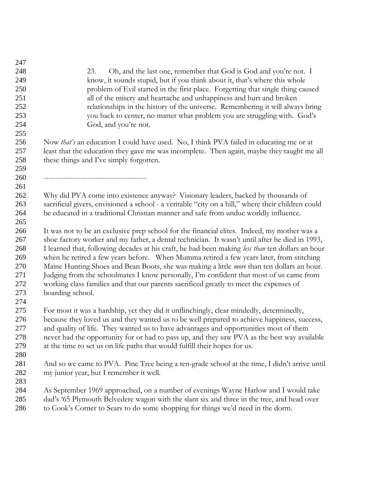| 247 |                                                                                                    |
|-----|----------------------------------------------------------------------------------------------------|
| 248 | Oh, and the last one, remember that God is God and you're not. I<br>23.                            |
| 249 | know, it sounds stupid, but if you think about it, that's where this whole                         |
| 250 | problem of Evil started in the first place. Forgetting that single thing caused                    |
| 251 | all of the misery and heartache and unhappiness and hurt and broken                                |
| 252 | relationships in the history of the universe. Remembering it will always bring                     |
| 253 | you back to center, no matter what problem you are struggling with. God's                          |
| 254 | God, and you're not.                                                                               |
| 255 |                                                                                                    |
| 256 | Now <i>that's</i> an education I could have used. No, I think PVA failed in educating me or at     |
| 257 | least that the education they gave me was incomplete. Then again, maybe they taught me all         |
| 258 | these things and I've simply forgotten.                                                            |
| 259 |                                                                                                    |
| 260 |                                                                                                    |
| 261 |                                                                                                    |
| 262 | Why did PVA come into existence anyway? Visionary leaders, backed by thousands of                  |
| 263 | sacrificial givers, envisioned a school - a veritable "city on a hill," where their children could |
| 264 | be educated in a traditional Christian manner and safe from undue worldly influence.               |
| 265 |                                                                                                    |
| 266 | It was not to be an exclusive prep school for the financial elites. Indeed, my mother was a        |
| 267 | shoe factory worker and my father, a dental technician. It wasn't until after he died in 1993,     |
| 268 | I learned that, following decades at his craft, he had been making less than ten dollars an hour   |
| 269 | when he retired a few years before. When Mumma retired a few years later, from stitching           |
| 270 | Maine Hunting Shoes and Bean Boots, she was making a little <i>more</i> than ten dollars an hour.  |
| 271 | Judging from the schoolmates I know personally, I'm confident that most of us came from            |
| 272 | working class families and that our parents sacrificed greatly to meet the expenses of             |
| 273 | boarding school.                                                                                   |
| 274 |                                                                                                    |
| 275 | For most it was a hardship, yet they did it unflinchingly, clear mindedly, determinedly,           |
| 276 | because they loved us and they wanted us to be well prepared to achieve happiness, success,        |
| 277 | and quality of life. They wanted us to have advantages and opportunities most of them              |
| 278 | never had the opportunity for or had to pass up, and they saw PVA as the best way available        |
| 279 | at the time to set us on life paths that would fulfill their hopes for us.                         |
| 280 |                                                                                                    |
| 281 | And so we came to PVA. Pine Tree being a ten-grade school at the time, I didn't arrive until       |
| 282 | my junior year, but I remember it well.                                                            |
| 283 |                                                                                                    |
| 284 | As September 1969 approached, on a number of evenings Wayne Harlow and I would take                |
| 285 | dad's '65 Plymouth Belvedere wagon with the slant six and three in the tree, and head over         |
| 286 | to Cook's Corner to Sears to do some shopping for things we'd need in the dorm.                    |
|     |                                                                                                    |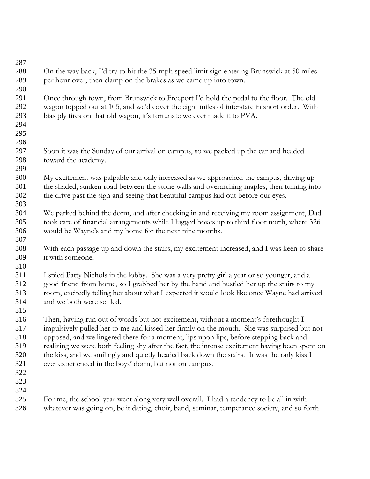| On the way back, I'd try to hit the 35-mph speed limit sign entering Brunswick at 50 miles                                                                                            |
|---------------------------------------------------------------------------------------------------------------------------------------------------------------------------------------|
| per hour over, then clamp on the brakes as we came up into town.                                                                                                                      |
| Once through town, from Brunswick to Freeport I'd hold the pedal to the floor. The old                                                                                                |
| wagon topped out at 105, and we'd cover the eight miles of interstate in short order. With<br>bias ply tires on that old wagon, it's fortunate we ever made it to PVA.                |
|                                                                                                                                                                                       |
| Soon it was the Sunday of our arrival on campus, so we packed up the car and headed<br>toward the academy.                                                                            |
| My excitement was palpable and only increased as we approached the campus, driving up                                                                                                 |
| the shaded, sunken road between the stone walls and overarching maples, then turning into                                                                                             |
| the drive past the sign and seeing that beautiful campus laid out before our eyes.                                                                                                    |
|                                                                                                                                                                                       |
| We parked behind the dorm, and after checking in and receiving my room assignment, Dad<br>took care of financial arrangements while I lugged boxes up to third floor north, where 326 |
| would be Wayne's and my home for the next nine months.                                                                                                                                |
|                                                                                                                                                                                       |
| With each passage up and down the stairs, my excitement increased, and I was keen to share                                                                                            |
| it with someone.                                                                                                                                                                      |
|                                                                                                                                                                                       |
| I spied Patty Nichols in the lobby. She was a very pretty girl a year or so younger, and a                                                                                            |
| good friend from home, so I grabbed her by the hand and hustled her up the stairs to my                                                                                               |
| room, excitedly telling her about what I expected it would look like once Wayne had arrived                                                                                           |
| and we both were settled.                                                                                                                                                             |
|                                                                                                                                                                                       |
| Then, having run out of words but not excitement, without a moment's forethought I                                                                                                    |
| impulsively pulled her to me and kissed her firmly on the mouth. She was surprised but not                                                                                            |
| opposed, and we lingered there for a moment, lips upon lips, before stepping back and                                                                                                 |
| realizing we were both feeling shy after the fact, the intense excitement having been spent on                                                                                        |
| the kiss, and we smilingly and quietly headed back down the stairs. It was the only kiss I                                                                                            |
| ever experienced in the boys' dorm, but not on campus.                                                                                                                                |
|                                                                                                                                                                                       |
|                                                                                                                                                                                       |
| For me, the school year went along very well overall. I had a tendency to be all in with                                                                                              |
| whatever was going on, be it dating, choir, band, seminar, temperance society, and so forth.                                                                                          |
|                                                                                                                                                                                       |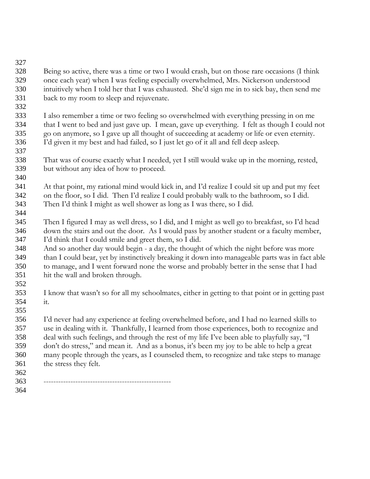- Being so active, there was a time or two I would crash, but on those rare occasions (I think once each year) when I was feeling especially overwhelmed, Mrs. Nickerson understood intuitively when I told her that I was exhausted. She'd sign me in to sick bay, then send me back to my room to sleep and rejuvenate. 328 329 330 331
- I also remember a time or two feeling so overwhelmed with everything pressing in on me that I went to bed and just gave up. I mean, gave up everything. I felt as though I could not go on anymore, so I gave up all thought of succeeding at academy or life or even eternity. I'd given it my best and had failed, so I just let go of it all and fell deep asleep. 333 334 335 336
- That was of course exactly what I needed, yet I still would wake up in the morning, rested, but without any idea of how to proceed. 338 339
- At that point, my rational mind would kick in, and I'd realize I could sit up and put my feet on the floor, so I did. Then I'd realize I could probably walk to the bathroom, so I did. Then I'd think I might as well shower as long as I was there, so I did. 341 342 343
- Then I figured I may as well dress, so I did, and I might as well go to breakfast, so I'd head down the stairs and out the door. As I would pass by another student or a faculty member, I'd think that I could smile and greet them, so I did. 345 346 347
- And so another day would begin a day, the thought of which the night before was more than I could bear, yet by instinctively breaking it down into manageable parts was in fact able to manage, and I went forward none the worse and probably better in the sense that I had hit the wall and broken through. 348 349 350 351 352
- I know that wasn't so for all my schoolmates, either in getting to that point or in getting past it. 353 354

I'd never had any experience at feeling overwhelmed before, and I had no learned skills to use in dealing with it. Thankfully, I learned from those experiences, both to recognize and deal with such feelings, and through the rest of my life I've been able to playfully say, "I don't do stress," and mean it. And as a bonus, it's been my joy to be able to help a great many people through the years, as I counseled them, to recognize and take steps to manage the stress they felt. 355 356 357 358 359 360 361

362

327

332

337

340

344

- ---------------------------------------------------- 363
- 364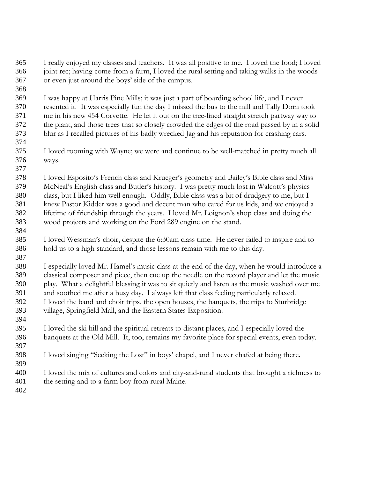I really enjoyed my classes and teachers. It was all positive to me. I loved the food; I loved joint rec; having come from a farm, I loved the rural setting and taking walks in the woods or even just around the boys' side of the campus. 365 366 367

I was happy at Harris Pine Mills; it was just a part of boarding school life, and I never resented it. It was especially fun the day I missed the bus to the mill and Tally Dorn took me in his new 454 Corvette. He let it out on the tree-lined straight stretch partway way to the plant, and those trees that so closely crowded the edges of the road passed by in a solid blur as I recalled pictures of his badly wrecked Jag and his reputation for crashing cars. 369 370 371 372 373

I loved rooming with Wayne; we were and continue to be well-matched in pretty much all ways. 375 376

I loved Esposito's French class and Krueger's geometry and Bailey's Bible class and Miss McNeal's English class and Butler's history. I was pretty much lost in Walcott's physics class, but I liked him well enough. Oddly, Bible class was a bit of drudgery to me, but I knew Pastor Kidder was a good and decent man who cared for us kids, and we enjoyed a lifetime of friendship through the years. I loved Mr. Loignon's shop class and doing the wood projects and working on the Ford 289 engine on the stand. 378 379 380 381 382 383

I loved Wessman's choir, despite the 6:30am class time. He never failed to inspire and to hold us to a high standard, and those lessons remain with me to this day. 385 386

I especially loved Mr. Hamel's music class at the end of the day, when he would introduce a classical composer and piece, then cue up the needle on the record player and let the music play. What a delightful blessing it was to sit quietly and listen as the music washed over me and soothed me after a busy day. I always left that class feeling particularly relaxed. I loved the band and choir trips, the open houses, the banquets, the trips to Sturbridge village, Springfield Mall, and the Eastern States Exposition. 388 389 390 391 392 393 394

- I loved the ski hill and the spiritual retreats to distant places, and I especially loved the banquets at the Old Mill. It, too, remains my favorite place for special events, even today. 395 396
- I loved singing "Seeking the Lost" in boys' chapel, and I never chafed at being there. 398
- I loved the mix of cultures and colors and city-and-rural students that brought a richness to the setting and to a farm boy from rural Maine. 400 401

402

397

399

368

374

377

384

387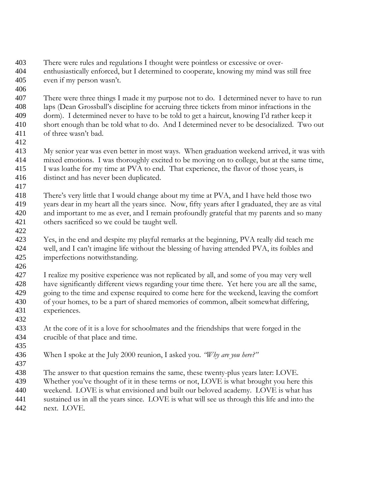- There were rules and regulations I thought were pointless or excessive or overenthusiastically enforced, but I determined to cooperate, knowing my mind was still free even if my person wasn't. 403 404 405
- 406

There were three things I made it my purpose not to do. I determined never to have to run laps (Dean Grossball's discipline for accruing three tickets from minor infractions in the dorm). I determined never to have to be told to get a haircut, knowing I'd rather keep it short enough than be told what to do. And I determined never to be desocialized. Two out of three wasn't bad. 407 408 409 410 411

412

417

422

432

437

My senior year was even better in most ways. When graduation weekend arrived, it was with mixed emotions. I was thoroughly excited to be moving on to college, but at the same time, I was loathe for my time at PVA to end. That experience, the flavor of those years, is distinct and has never been duplicated. 413 414 415 416

- There's very little that I would change about my time at PVA, and I have held those two years dear in my heart all the years since. Now, fifty years after I graduated, they are as vital and important to me as ever, and I remain profoundly grateful that my parents and so many others sacrificed so we could be taught well. 418 419 420 421
- Yes, in the end and despite my playful remarks at the beginning, PVA really did teach me well, and I can't imagine life without the blessing of having attended PVA, its foibles and imperfections notwithstanding. 423 424 425
- I realize my positive experience was not replicated by all, and some of you may very well have significantly different views regarding your time there. Yet here you are all the same, going to the time and expense required to come here for the weekend, leaving the comfort of your homes, to be a part of shared memories of common, albeit somewhat differing, experiences. 426 427 428 429 430 431
	- At the core of it is a love for schoolmates and the friendships that were forged in the crucible of that place and time. 433 434 435
	- When I spoke at the July 2000 reunion, I asked you. *"Why are you here?"* 436
	- The answer to that question remains the same, these twenty-plus years later: LOVE. Whether you've thought of it in these terms or not, LOVE is what brought you here this weekend. LOVE is what envisioned and built our beloved academy. LOVE is what has sustained us in all the years since. LOVE is what will see us through this life and into the next. LOVE. 438 439 440 441 442